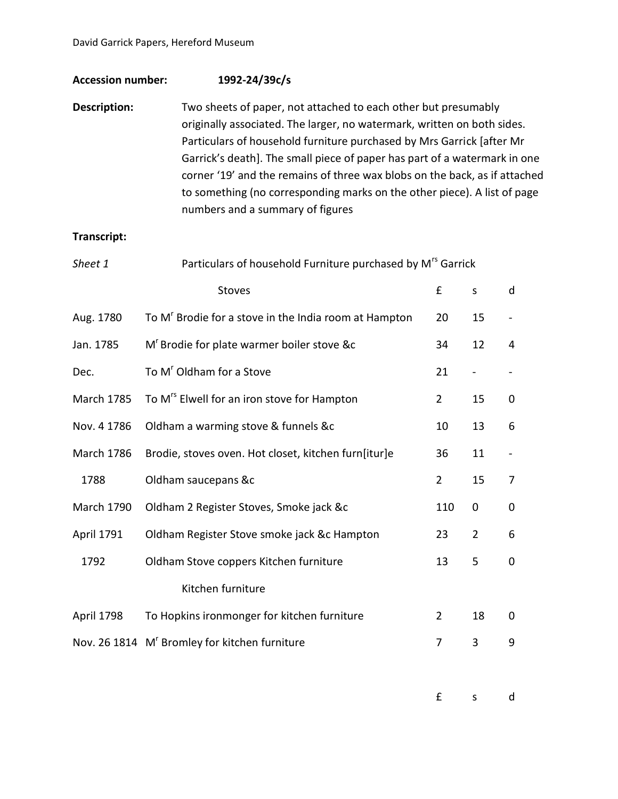## **Accession number: 1992-24/39c/s**

**Description:** Two sheets of paper, not attached to each other but presumably originally associated. The larger, no watermark, written on both sides. Particulars of household furniture purchased by Mrs Garrick [after Mr Garrick's death]. The small piece of paper has part of a watermark in one corner '19' and the remains of three wax blobs on the back, as if attached to something (no corresponding marks on the other piece). A list of page numbers and a summary of figures

## **Transcript:**

| Sheet 1                                                   | Particulars of household Furniture purchased by M <sup>rs</sup> Garrick |                |              |             |  |  |
|-----------------------------------------------------------|-------------------------------------------------------------------------|----------------|--------------|-------------|--|--|
|                                                           | <b>Stoves</b>                                                           | £              | $\mathsf{s}$ | d           |  |  |
| Aug. 1780                                                 | To M <sup>'</sup> Brodie for a stove in the India room at Hampton       | 20             | 15           |             |  |  |
| Jan. 1785                                                 | M <sup>'</sup> Brodie for plate warmer boiler stove &c                  | 34             | 12           | 4           |  |  |
| Dec.                                                      | To M <sup>r</sup> Oldham for a Stove                                    | 21             |              |             |  |  |
| <b>March 1785</b>                                         | To M <sup>rs</sup> Elwell for an iron stove for Hampton                 | $\overline{2}$ | 15           | 0           |  |  |
| Nov. 4 1786                                               | Oldham a warming stove & funnels &c                                     | 10             | 13           | 6           |  |  |
| <b>March 1786</b>                                         | Brodie, stoves oven. Hot closet, kitchen furn[itur]e                    | 36             | 11           |             |  |  |
| 1788                                                      | Oldham saucepans &c                                                     | $\overline{2}$ | 15           | 7           |  |  |
| <b>March 1790</b>                                         | Oldham 2 Register Stoves, Smoke jack &c                                 | 110            | 0            | $\mathbf 0$ |  |  |
| <b>April 1791</b>                                         | Oldham Register Stove smoke jack &c Hampton                             |                |              |             |  |  |
| 1792                                                      | Oldham Stove coppers Kitchen furniture                                  | 13             | 5            | $\mathbf 0$ |  |  |
|                                                           | Kitchen furniture                                                       |                |              |             |  |  |
| April 1798                                                | To Hopkins ironmonger for kitchen furniture                             | $\overline{2}$ | 18           | 0           |  |  |
| Nov. 26 1814 M <sup>r</sup> Bromley for kitchen furniture | 7                                                                       | 3              | 9            |             |  |  |
|                                                           |                                                                         |                |              |             |  |  |

£ s d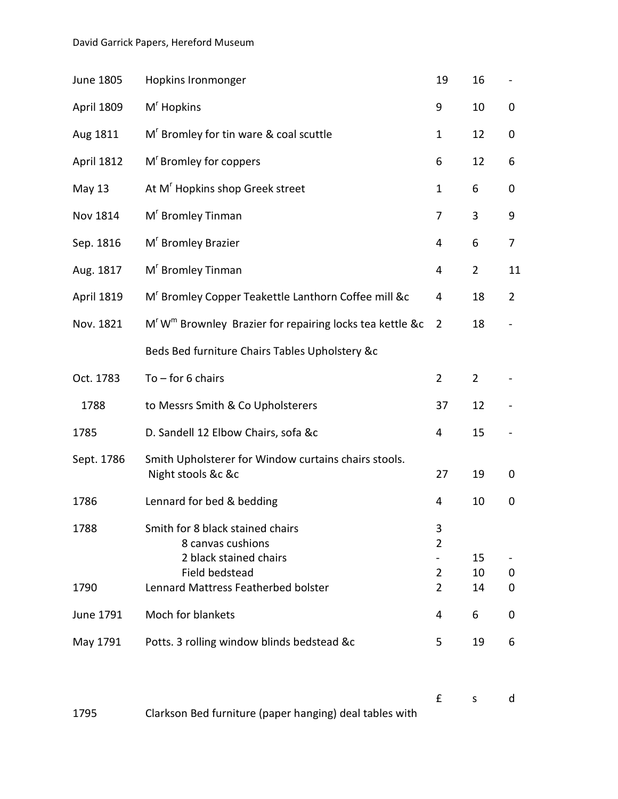## David Garrick Papers, Hereford Museum

| June 1805         | Hopkins Ironmonger                                                                                                                       | 19                                                      | 16             |                |
|-------------------|------------------------------------------------------------------------------------------------------------------------------------------|---------------------------------------------------------|----------------|----------------|
| April 1809        | M <sup>r</sup> Hopkins                                                                                                                   | 9                                                       | 10             | 0              |
| Aug 1811          | M <sup>r</sup> Bromley for tin ware & coal scuttle                                                                                       | $\mathbf{1}$                                            | 12             | 0              |
| April 1812        | M <sup>r</sup> Bromley for coppers                                                                                                       | 6                                                       | 12             | 6              |
| May 13            | At M <sup>r</sup> Hopkins shop Greek street                                                                                              | 1                                                       | 6              | 0              |
| <b>Nov 1814</b>   | M <sup>r</sup> Bromley Tinman                                                                                                            | 7                                                       | 3              | 9              |
| Sep. 1816         | M <sup>r</sup> Bromley Brazier                                                                                                           | 4                                                       | 6              | 7              |
| Aug. 1817         | M <sup>r</sup> Bromley Tinman                                                                                                            | 4                                                       | $\overline{2}$ | 11             |
| <b>April 1819</b> | M <sup>r</sup> Bromley Copper Teakettle Lanthorn Coffee mill &c                                                                          | 4                                                       | 18             | $\overline{2}$ |
| Nov. 1821         | $M^{r}$ W <sup>m</sup> Brownley Brazier for repairing locks tea kettle &c                                                                | $\overline{2}$                                          | 18             |                |
|                   | Beds Bed furniture Chairs Tables Upholstery &c                                                                                           |                                                         |                |                |
| Oct. 1783         | $To$ – for 6 chairs                                                                                                                      | $\overline{2}$                                          | $\overline{2}$ |                |
| 1788              | to Messrs Smith & Co Upholsterers                                                                                                        | 37                                                      | 12             |                |
| 1785              | D. Sandell 12 Elbow Chairs, sofa &c                                                                                                      | 4                                                       | 15             |                |
| Sept. 1786        | Smith Upholsterer for Window curtains chairs stools.<br>Night stools &c &c                                                               | 27                                                      | 19             | 0              |
| 1786              | Lennard for bed & bedding                                                                                                                | 4                                                       | 10             | 0              |
| 1788<br>1790      | Smith for 8 black stained chairs<br>8 canvas cushions<br>2 black stained chairs<br>Field bedstead<br>Lennard Mattress Featherbed bolster | 3<br>$\overline{2}$<br>$\overline{2}$<br>$\overline{2}$ | 15<br>10<br>14 | 0<br>0         |
| June 1791         | Moch for blankets                                                                                                                        | 4                                                       | 6              | 0              |
| May 1791          | Potts. 3 rolling window blinds bedstead &c                                                                                               | 5                                                       | 19             | 6              |
| 1795              | Clarkson Bed furniture (paper hanging) deal tables with                                                                                  | £                                                       | $\sf S$        | d              |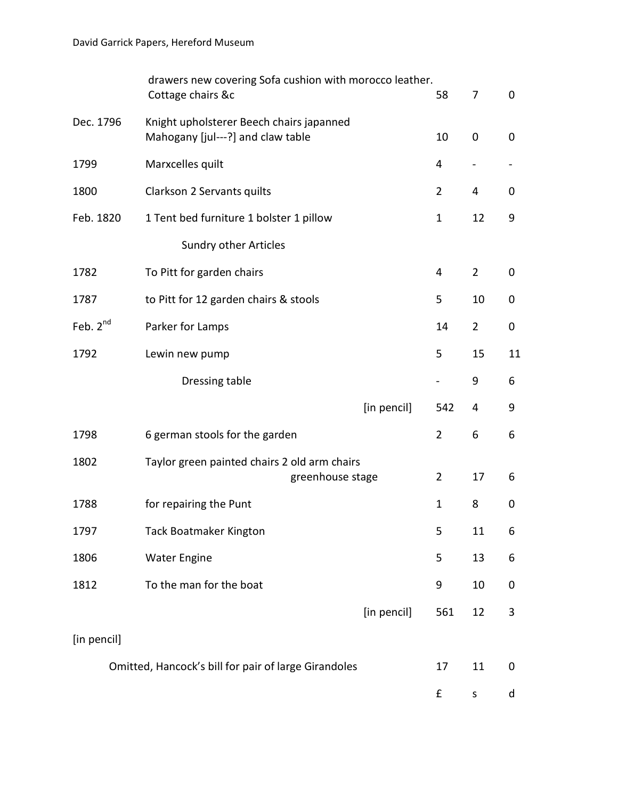|                                                      | drawers new covering Sofa cushion with morocco leather.<br>Cottage chairs &c  | 58             | 7                | 0  |
|------------------------------------------------------|-------------------------------------------------------------------------------|----------------|------------------|----|
| Dec. 1796                                            | Knight upholsterer Beech chairs japanned<br>Mahogany [jul---?] and claw table | 10             | $\boldsymbol{0}$ | 0  |
| 1799                                                 | Marxcelles quilt                                                              | $\overline{4}$ | $\blacksquare$   |    |
| 1800                                                 | Clarkson 2 Servants quilts                                                    | $\overline{2}$ | 4                | 0  |
| Feb. 1820                                            | 1 Tent bed furniture 1 bolster 1 pillow                                       | $\mathbf{1}$   | 12               | 9  |
|                                                      | <b>Sundry other Articles</b>                                                  |                |                  |    |
| 1782                                                 | To Pitt for garden chairs                                                     | 4              | $\overline{2}$   | 0  |
| 1787                                                 | to Pitt for 12 garden chairs & stools                                         | 5              | 10               | 0  |
| Feb. $2^{nd}$                                        | Parker for Lamps                                                              | 14             | $\overline{2}$   | 0  |
| 1792                                                 | Lewin new pump                                                                | 5              | 15               | 11 |
|                                                      | Dressing table                                                                |                | 9                | 6  |
|                                                      | [in pencil]                                                                   | 542            | 4                | 9  |
| 1798                                                 | 6 german stools for the garden                                                | $\overline{2}$ | 6                | 6  |
| 1802                                                 | Taylor green painted chairs 2 old arm chairs<br>greenhouse stage              | $\overline{2}$ | 17               | 6  |
| 1788                                                 | for repairing the Punt                                                        | 1              | 8                | 0  |
| 1797                                                 | Tack Boatmaker Kington                                                        | 5              | 11               | 6  |
| 1806                                                 | <b>Water Engine</b>                                                           | 5              | 13               | 6  |
| 1812                                                 | To the man for the boat                                                       | 9              | 10               | 0  |
|                                                      | [in pencil]                                                                   | 561            | 12               | 3  |
| [in pencil]                                          |                                                                               |                |                  |    |
| Omitted, Hancock's bill for pair of large Girandoles | 17                                                                            | 11             | 0                |    |
|                                                      |                                                                               | £              | S                | d  |